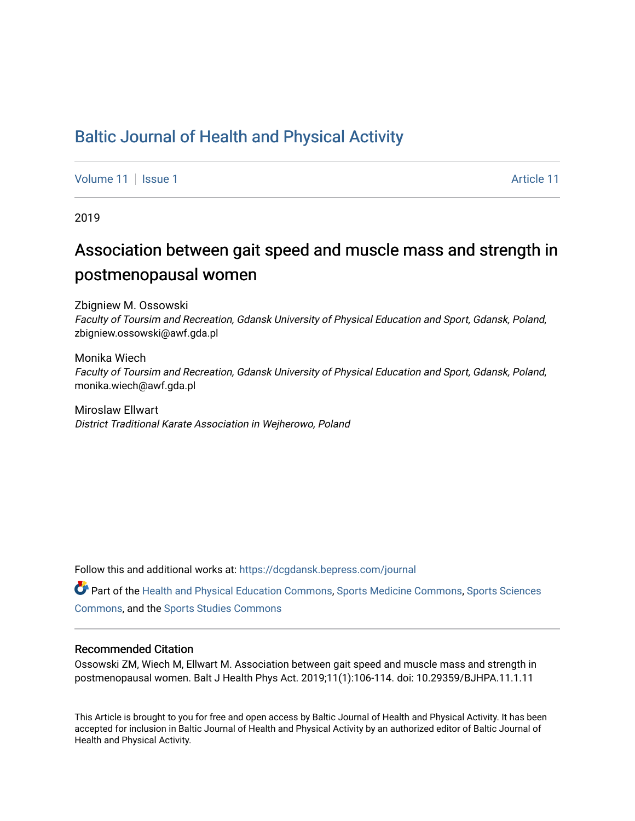## [Baltic Journal of Health and Physical Activity](https://dcgdansk.bepress.com/journal)

[Volume 11](https://dcgdansk.bepress.com/journal/vol11) | [Issue 1](https://dcgdansk.bepress.com/journal/vol11/iss1) Article 11

2019

# Association between gait speed and muscle mass and strength in postmenopausal women

Zbigniew M. Ossowski Faculty of Toursim and Recreation, Gdansk University of Physical Education and Sport, Gdansk, Poland, zbigniew.ossowski@awf.gda.pl

Monika Wiech Faculty of Toursim and Recreation, Gdansk University of Physical Education and Sport, Gdansk, Poland, monika.wiech@awf.gda.pl

Miroslaw Ellwart District Traditional Karate Association in Wejherowo, Poland

Follow this and additional works at: [https://dcgdansk.bepress.com/journal](https://dcgdansk.bepress.com/journal?utm_source=dcgdansk.bepress.com%2Fjournal%2Fvol11%2Fiss1%2F11&utm_medium=PDF&utm_campaign=PDFCoverPages)

Part of the [Health and Physical Education Commons](http://network.bepress.com/hgg/discipline/1327?utm_source=dcgdansk.bepress.com%2Fjournal%2Fvol11%2Fiss1%2F11&utm_medium=PDF&utm_campaign=PDFCoverPages), [Sports Medicine Commons,](http://network.bepress.com/hgg/discipline/1331?utm_source=dcgdansk.bepress.com%2Fjournal%2Fvol11%2Fiss1%2F11&utm_medium=PDF&utm_campaign=PDFCoverPages) [Sports Sciences](http://network.bepress.com/hgg/discipline/759?utm_source=dcgdansk.bepress.com%2Fjournal%2Fvol11%2Fiss1%2F11&utm_medium=PDF&utm_campaign=PDFCoverPages) [Commons](http://network.bepress.com/hgg/discipline/759?utm_source=dcgdansk.bepress.com%2Fjournal%2Fvol11%2Fiss1%2F11&utm_medium=PDF&utm_campaign=PDFCoverPages), and the [Sports Studies Commons](http://network.bepress.com/hgg/discipline/1198?utm_source=dcgdansk.bepress.com%2Fjournal%2Fvol11%2Fiss1%2F11&utm_medium=PDF&utm_campaign=PDFCoverPages) 

#### Recommended Citation

Ossowski ZM, Wiech M, Ellwart M. Association between gait speed and muscle mass and strength in postmenopausal women. Balt J Health Phys Act. 2019;11(1):106-114. doi: 10.29359/BJHPA.11.1.11

This Article is brought to you for free and open access by Baltic Journal of Health and Physical Activity. It has been accepted for inclusion in Baltic Journal of Health and Physical Activity by an authorized editor of Baltic Journal of Health and Physical Activity.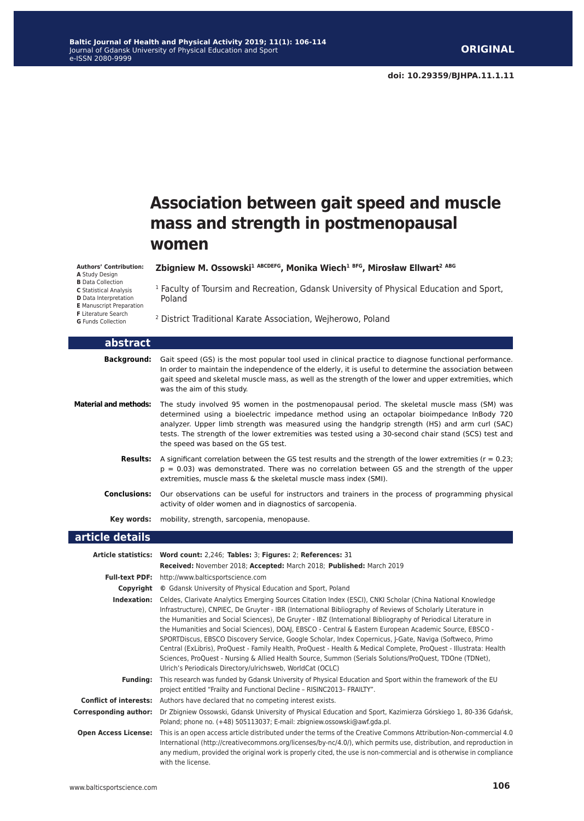## **Association between gait speed and muscle mass and strength in postmenopausal women**

#### **Authors' Contribution:**

- **A** Study Design
- **B** Data Collection
- **C** Statistical Analysis
- **D** Data Interpretation **E** Manuscript Preparation
- **F** Literature Search
- **G** Funds Collection

**Zbigniew M. Ossowski1 ABCDEFG, Monika Wiech1 BFG, Mirosław Ellwart<sup>2</sup> ABG**

<sup>1</sup> Faculty of Toursim and Recreation, Gdansk University of Physical Education and Sport, Poland

2 District Traditional Karate Association, Wejherowo, Poland

| abstract                     |                                                                                                                                                                                                                                                                                                                                                                                                                                            |
|------------------------------|--------------------------------------------------------------------------------------------------------------------------------------------------------------------------------------------------------------------------------------------------------------------------------------------------------------------------------------------------------------------------------------------------------------------------------------------|
| Background:                  | Gait speed (GS) is the most popular tool used in clinical practice to diagnose functional performance.<br>In order to maintain the independence of the elderly, it is useful to determine the association between<br>gait speed and skeletal muscle mass, as well as the strength of the lower and upper extremities, which<br>was the aim of this study.                                                                                  |
| <b>Material and methods:</b> | The study involved 95 women in the postmenopausal period. The skeletal muscle mass (SM) was<br>determined using a bioelectric impedance method using an octapolar bioimpedance InBody 720<br>analyzer. Upper limb strength was measured using the handgrip strength (HS) and arm curl (SAC)<br>tests. The strength of the lower extremities was tested using a 30-second chair stand (SCS) test and<br>the speed was based on the GS test. |
| <b>Results:</b>              | A significant correlation between the GS test results and the strength of the lower extremities ( $r = 0.23$ )<br>$p = 0.03$ ) was demonstrated. There was no correlation between GS and the strength of the upper<br>extremities, muscle mass & the skeletal muscle mass index (SMI).                                                                                                                                                     |
| <b>Conclusions:</b>          | Our observations can be useful for instructors and trainers in the process of programming physical<br>activity of older women and in diagnostics of sarcopenia.                                                                                                                                                                                                                                                                            |
| Key words:                   | mobility, strength, sarcopenia, menopause.                                                                                                                                                                                                                                                                                                                                                                                                 |
| article details              |                                                                                                                                                                                                                                                                                                                                                                                                                                            |
|                              | Article statistics: Word count: 2,246; Tables: 3; Figures: 2; References: 31<br>Received: November 2018; Accepted: March 2018; Published: March 2019                                                                                                                                                                                                                                                                                       |
| <b>Full-text PDF:</b>        | http://www.balticsportscience.com                                                                                                                                                                                                                                                                                                                                                                                                          |
| Copyright                    | © Gdansk University of Physical Education and Sport, Poland                                                                                                                                                                                                                                                                                                                                                                                |
| Indexation:                  | Celdes, Clarivate Analytics Emerging Sources Citation Index (ESCI), CNKI Scholar (China National Knowledge<br>Infrastructure), CNPIEC, De Gruyter - IBR (International Bibliography of Reviews of Scholarly Literature in                                                                                                                                                                                                                  |

the Humanities and Social Sciences), De Gruyter - IBZ (International Bibliography of Periodical Literature in the Humanities and Social Sciences), DOAJ, EBSCO - Central & Eastern European Academic Source, EBSCO -SPORTDiscus, EBSCO Discovery Service, Google Scholar, Index Copernicus, J-Gate, Naviga (Softweco, Primo Central (ExLibris), ProQuest - Family Health, ProQuest - Health & Medical Complete, ProQuest - Illustrata: Health Sciences, ProQuest - Nursing & Allied Health Source, Summon (Serials Solutions/ProQuest, TDOne (TDNet), Ulrich's Periodicals Directory/ulrichsweb, WorldCat (OCLC) **Funding:** This research was funded by Gdansk University of Physical Education and Sport within the framework of the EU project entitled "Frailty and Functional Decline – RISINC2013– FRAILTY". **Conflict of interests:** Authors have declared that no competing interest exists.

**Corresponding author:** Dr Zbigniew Ossowski, Gdansk University of Physical Education and Sport, Kazimierza Górskiego 1, 80-336 Gdańsk, Poland; phone no. (+48) 505113037; E-mail: zbigniew.ossowski@awf.gda.pl.

**Open Access License:** This is an open access article distributed under the terms of the Creative Commons Attribution-Non-commercial 4.0 International (http://creativecommons.org/licenses/by-nc/4.0/), which permits use, distribution, and reproduction in any medium, provided the original work is properly cited, the use is non-commercial and is otherwise in compliance with the license.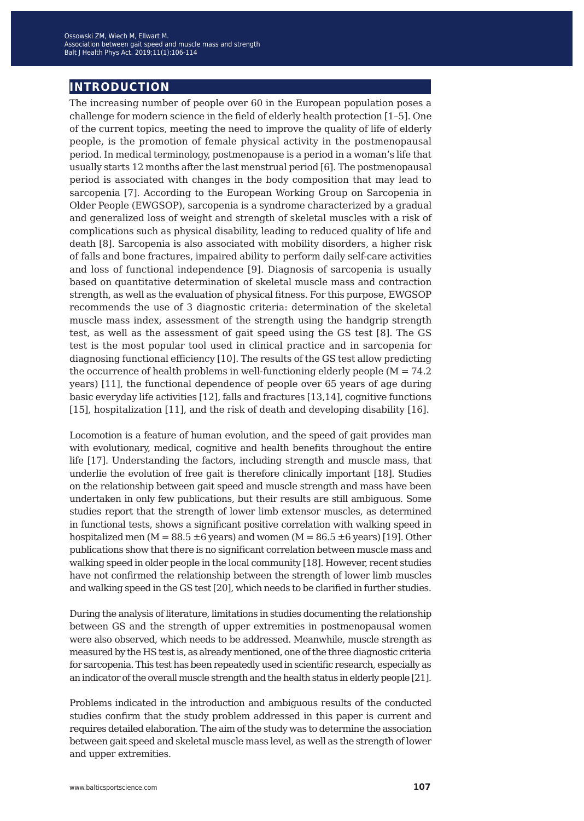### **introduction**

The increasing number of people over 60 in the European population poses a challenge for modern science in the field of elderly health protection [1–5]. One of the current topics, meeting the need to improve the quality of life of elderly people, is the promotion of female physical activity in the postmenopausal period. In medical terminology, postmenopause is a period in a woman's life that usually starts 12 months after the last menstrual period [6]. The postmenopausal period is associated with changes in the body composition that may lead to sarcopenia [7]. According to the European Working Group on Sarcopenia in Older People (EWGSOP), sarcopenia is a syndrome characterized by a gradual and generalized loss of weight and strength of skeletal muscles with a risk of complications such as physical disability, leading to reduced quality of life and death [8]. Sarcopenia is also associated with mobility disorders, a higher risk of falls and bone fractures, impaired ability to perform daily self-care activities and loss of functional independence [9]. Diagnosis of sarcopenia is usually based on quantitative determination of skeletal muscle mass and contraction strength, as well as the evaluation of physical fitness. For this purpose, EWGSOP recommends the use of 3 diagnostic criteria: determination of the skeletal muscle mass index, assessment of the strength using the handgrip strength test, as well as the assessment of gait speed using the GS test [8]. The GS test is the most popular tool used in clinical practice and in sarcopenia for diagnosing functional efficiency [10]. The results of the GS test allow predicting the occurrence of health problems in well-functioning elderly people ( $M = 74.2$ ) years) [11], the functional dependence of people over 65 years of age during basic everyday life activities [12], falls and fractures [13,14], cognitive functions [15], hospitalization [11], and the risk of death and developing disability [16].

Locomotion is a feature of human evolution, and the speed of gait provides man with evolutionary, medical, cognitive and health benefits throughout the entire life [17]. Understanding the factors, including strength and muscle mass, that underlie the evolution of free gait is therefore clinically important [18]. Studies on the relationship between gait speed and muscle strength and mass have been undertaken in only few publications, but their results are still ambiguous. Some studies report that the strength of lower limb extensor muscles, as determined in functional tests, shows a significant positive correlation with walking speed in hospitalized men (M = 88.5  $\pm$ 6 years) and women (M = 86.5  $\pm$ 6 years) [19]. Other publications show that there is no significant correlation between muscle mass and walking speed in older people in the local community [18]. However, recent studies have not confirmed the relationship between the strength of lower limb muscles and walking speed in the GS test [20], which needs to be clarified in further studies.

During the analysis of literature, limitations in studies documenting the relationship between GS and the strength of upper extremities in postmenopausal women were also observed, which needs to be addressed. Meanwhile, muscle strength as measured by the HS test is, as already mentioned, one of the three diagnostic criteria for sarcopenia. This test has been repeatedly used in scientific research, especially as an indicator of the overall muscle strength and the health status in elderly people [21].

Problems indicated in the introduction and ambiguous results of the conducted studies confirm that the study problem addressed in this paper is current and requires detailed elaboration. The aim of the study was to determine the association between gait speed and skeletal muscle mass level, as well as the strength of lower and upper extremities.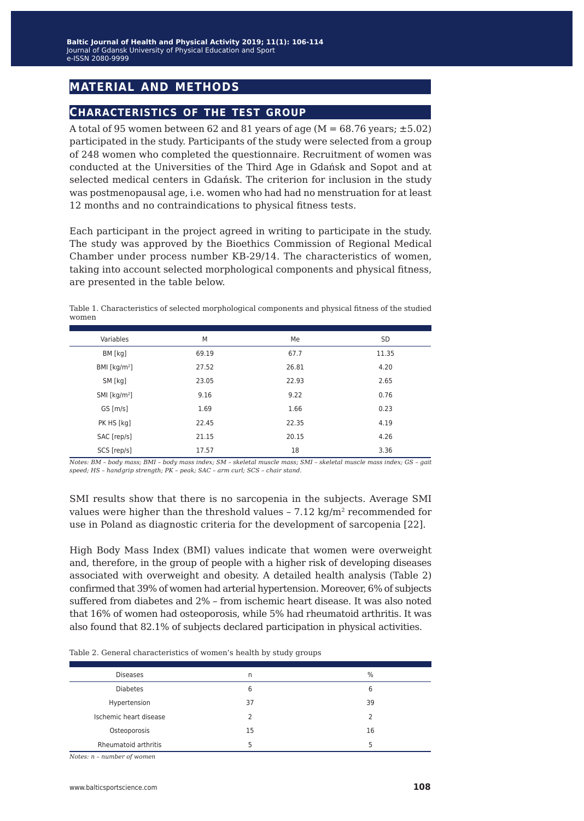## **material and methods**

#### **characteristics of the test group**

A total of 95 women between 62 and 81 years of age ( $M = 68.76$  years;  $\pm 5.02$ ) participated in the study. Participants of the study were selected from a group of 248 women who completed the questionnaire. Recruitment of women was conducted at the Universities of the Third Age in Gdańsk and Sopot and at selected medical centers in Gdańsk. The criterion for inclusion in the study was postmenopausal age, i.e. women who had had no menstruation for at least 12 months and no contraindications to physical fitness tests.

Each participant in the project agreed in writing to participate in the study. The study was approved by the Bioethics Commission of Regional Medical Chamber under process number KB-29/14. The characteristics of women, taking into account selected morphological components and physical fitness, are presented in the table below.

Table 1. Characteristics of selected morphological components and physical fitness of the studied women

| Variables                  | M     | Me    | <b>SD</b> |
|----------------------------|-------|-------|-----------|
| BM [kg]                    | 69.19 | 67.7  | 11.35     |
| BMI [ $kg/m2$ ]            | 27.52 | 26.81 | 4.20      |
| SM [kg]                    | 23.05 | 22.93 | 2.65      |
| $SMI$ [kg/m <sup>2</sup> ] | 9.16  | 9.22  | 0.76      |
| GS[m/s]                    | 1.69  | 1.66  | 0.23      |
| PK HS [kg]                 | 22.45 | 22.35 | 4.19      |
| SAC [rep/s]                | 21.15 | 20.15 | 4.26      |
| SCS [rep/s]                | 17.57 | 18    | 3.36      |

*Notes: BM – body mass; BMI – body mass index; SM – skeletal muscle mass; SMI – skeletal muscle mass index; GS – gait speed; HS – handgrip strength; PK – peak; SAC – arm curl; SCS – chair stand.*

SMI results show that there is no sarcopenia in the subjects. Average SMI values were higher than the threshold values  $-7.12 \text{ kg/m}^2$  recommended for use in Poland as diagnostic criteria for the development of sarcopenia [22].

High Body Mass Index (BMI) values indicate that women were overweight and, therefore, in the group of people with a higher risk of developing diseases associated with overweight and obesity. A detailed health analysis (Table 2) confirmed that 39% of women had arterial hypertension. Moreover, 6% of subjects suffered from diabetes and 2% – from ischemic heart disease. It was also noted that 16% of women had osteoporosis, while 5% had rheumatoid arthritis. It was also found that 82.1% of subjects declared participation in physical activities.

| Table 2. General characteristics of women's health by study groups |  |  |  |  |  |  |
|--------------------------------------------------------------------|--|--|--|--|--|--|
|--------------------------------------------------------------------|--|--|--|--|--|--|

| <b>Diseases</b>        | n  | $\frac{0}{0}$ |
|------------------------|----|---------------|
| <b>Diabetes</b>        | 6  | 6             |
| Hypertension           | 37 | 39            |
| Ischemic heart disease |    |               |
| Osteoporosis           | 15 | 16            |
| Rheumatoid arthritis   |    | 5             |
|                        |    |               |

*Notes: n – number of women*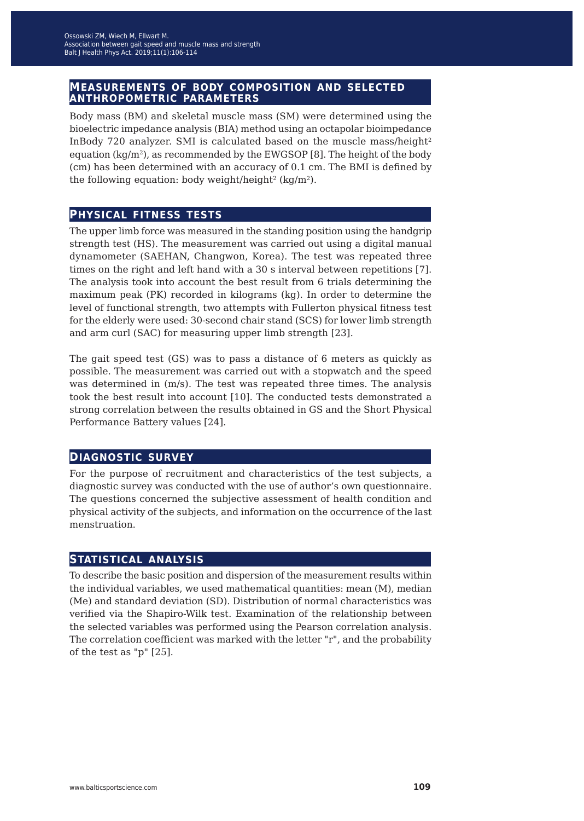# **measurements of body composition and selected anthropometric parameters**

Body mass (BM) and skeletal muscle mass (SM) were determined using the bioelectric impedance analysis (BIA) method using an octapolar bioimpedance InBody 720 analyzer. SMI is calculated based on the muscle mass/height<sup>2</sup> equation  $(kg/m^2)$ , as recommended by the EWGSOP [8]. The height of the body (cm) has been determined with an accuracy of 0.1 cm. The BMI is defined by the following equation: body weight/height<sup>2</sup> (kg/m<sup>2</sup>).

#### **physical fitness tests**

The upper limb force was measured in the standing position using the handgrip strength test (HS). The measurement was carried out using a digital manual dynamometer (SAEHAN, Changwon, Korea). The test was repeated three times on the right and left hand with a 30 s interval between repetitions [7]. The analysis took into account the best result from 6 trials determining the maximum peak (PK) recorded in kilograms (kg). In order to determine the level of functional strength, two attempts with Fullerton physical fitness test for the elderly were used: 30-second chair stand (SCS) for lower limb strength and arm curl (SAC) for measuring upper limb strength [23].

The gait speed test (GS) was to pass a distance of 6 meters as quickly as possible. The measurement was carried out with a stopwatch and the speed was determined in (m/s). The test was repeated three times. The analysis took the best result into account [10]. The conducted tests demonstrated a strong correlation between the results obtained in GS and the Short Physical Performance Battery values [24].

#### **diagnostic survey**

For the purpose of recruitment and characteristics of the test subjects, a diagnostic survey was conducted with the use of author's own questionnaire. The questions concerned the subjective assessment of health condition and physical activity of the subjects, and information on the occurrence of the last menstruation.

#### **statistical analysis**

To describe the basic position and dispersion of the measurement results within the individual variables, we used mathematical quantities: mean (M), median (Me) and standard deviation (SD). Distribution of normal characteristics was verified via the Shapiro-Wilk test. Examination of the relationship between the selected variables was performed using the Pearson correlation analysis. The correlation coefficient was marked with the letter "r", and the probability of the test as "p" [25].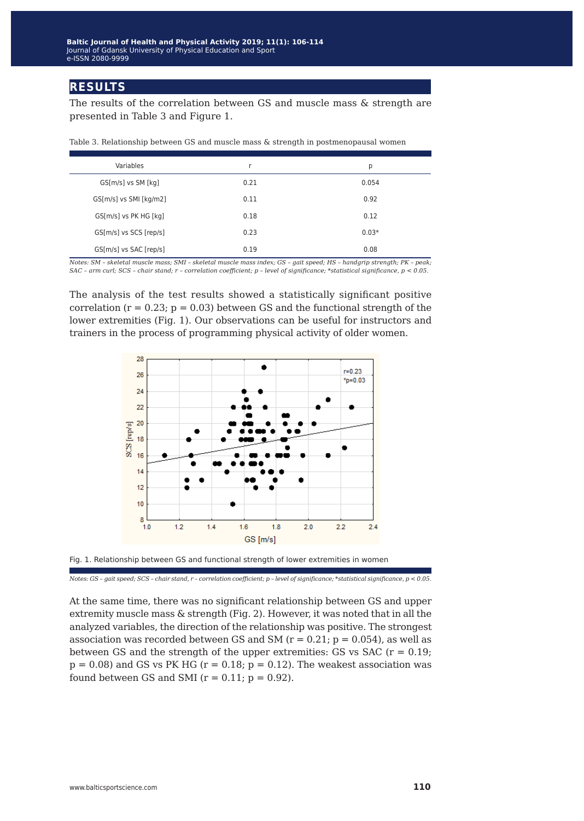#### **results**

The results of the correlation between GS and muscle mass & strength are presented in Table 3 and Figure 1.

| Variables              |      | р       |
|------------------------|------|---------|
| GS[m/s] vs SM [kg]     | 0.21 | 0.054   |
| GS[m/s] vs SMI [kg/m2] | 0.11 | 0.92    |
| GS[m/s] vs PK HG [kg]  | 0.18 | 0.12    |
| GS[m/s] vs SCS [rep/s] | 0.23 | $0.03*$ |
| GS[m/s] vs SAC [rep/s] | 0.19 | 0.08    |

Table 3. Relationship between GS and muscle mass & strength in postmenopausal women

*Notes: SM – skeletal muscle mass; SMI – skeletal muscle mass index; GS – gait speed; HS – handgrip strength; PK – peak; SAC – arm curl; SCS – chair stand; r – correlation coefficient; p – level of significance; \*statistical significance, p < 0.05.*

The analysis of the test results showed a statistically significant positive correlation  $(r = 0.23; p = 0.03)$  between GS and the functional strength of the lower extremities (Fig. 1). Our observations can be useful for instructors and trainers in the process of programming physical activity of older women.



Fig. 1. Relationship between GS and functional strength of lower extremities in women

*Notes: GS – gait speed; SCS – chair stand, r – correlation coefficient; p – level of significance; \*statistical significance, p < 0.05.*

At the same time, there was no significant relationship between GS and upper extremity muscle mass & strength (Fig. 2). However, it was noted that in all the analyzed variables, the direction of the relationship was positive. The strongest association was recorded between GS and SM ( $r = 0.21$ ;  $p = 0.054$ ), as well as between GS and the strength of the upper extremities: GS vs SAC  $(r = 0.19)$ ;  $p = 0.08$ ) and GS vs PK HG ( $r = 0.18$ ;  $p = 0.12$ ). The weakest association was found between GS and SMI ( $r = 0.11$ ;  $p = 0.92$ ).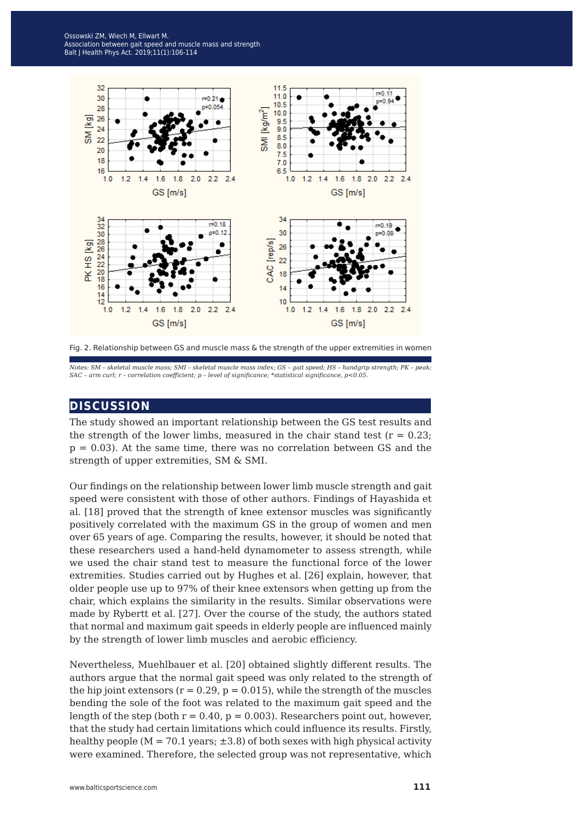

Fig. 2. Relationship between GS and muscle mass & the strength of the upper extremities in women

*Notes: SM – skeletal muscle mass; SMI – skeletal muscle mass index; GS – gait speed; HS – handgrip strength; PK – peak; SAC – arm curl; r – correlation coefficient; p – level of significance; \*statistical significance, p<0.05.*

#### **discussion**

The study showed an important relationship between the GS test results and the strength of the lower limbs, measured in the chair stand test  $(r = 0.23;$  $p = 0.03$ . At the same time, there was no correlation between GS and the strength of upper extremities, SM & SMI.

Our findings on the relationship between lower limb muscle strength and gait speed were consistent with those of other authors. Findings of Hayashida et al. [18] proved that the strength of knee extensor muscles was significantly positively correlated with the maximum GS in the group of women and men over 65 years of age. Comparing the results, however, it should be noted that these researchers used a hand-held dynamometer to assess strength, while we used the chair stand test to measure the functional force of the lower extremities. Studies carried out by Hughes et al. [26] explain, however, that older people use up to 97% of their knee extensors when getting up from the chair, which explains the similarity in the results. Similar observations were made by Rybertt et al. [27]. Over the course of the study, the authors stated that normal and maximum gait speeds in elderly people are influenced mainly by the strength of lower limb muscles and aerobic efficiency.

Nevertheless, Muehlbauer et al. [20] obtained slightly different results. The authors argue that the normal gait speed was only related to the strength of the hip joint extensors ( $r = 0.29$ ,  $p = 0.015$ ), while the strength of the muscles bending the sole of the foot was related to the maximum gait speed and the length of the step (both  $r = 0.40$ ,  $p = 0.003$ ). Researchers point out, however, that the study had certain limitations which could influence its results. Firstly, healthy people ( $M = 70.1$  years;  $\pm 3.8$ ) of both sexes with high physical activity were examined. Therefore, the selected group was not representative, which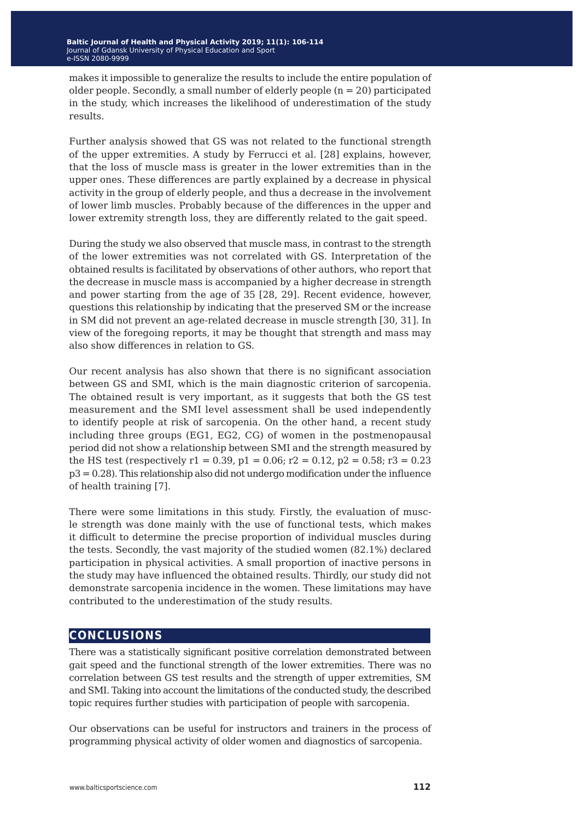makes it impossible to generalize the results to include the entire population of older people. Secondly, a small number of elderly people  $(n = 20)$  participated in the study, which increases the likelihood of underestimation of the study results.

Further analysis showed that GS was not related to the functional strength of the upper extremities. A study by Ferrucci et al. [28] explains, however, that the loss of muscle mass is greater in the lower extremities than in the upper ones. These differences are partly explained by a decrease in physical activity in the group of elderly people, and thus a decrease in the involvement of lower limb muscles. Probably because of the differences in the upper and lower extremity strength loss, they are differently related to the gait speed.

During the study we also observed that muscle mass, in contrast to the strength of the lower extremities was not correlated with GS. Interpretation of the obtained results is facilitated by observations of other authors, who report that the decrease in muscle mass is accompanied by a higher decrease in strength and power starting from the age of 35 [28, 29]. Recent evidence, however, questions this relationship by indicating that the preserved SM or the increase in SM did not prevent an age-related decrease in muscle strength [30, 31]. In view of the foregoing reports, it may be thought that strength and mass may also show differences in relation to GS.

Our recent analysis has also shown that there is no significant association between GS and SMI, which is the main diagnostic criterion of sarcopenia. The obtained result is very important, as it suggests that both the GS test measurement and the SMI level assessment shall be used independently to identify people at risk of sarcopenia. On the other hand, a recent study including three groups (EG1, EG2, CG) of women in the postmenopausal period did not show a relationship between SMI and the strength measured by the HS test (respectively  $r1 = 0.39$ ,  $p1 = 0.06$ ;  $r2 = 0.12$ ,  $p2 = 0.58$ ;  $r3 = 0.23$  $p3 = 0.28$ ). This relationship also did not undergo modification under the influence of health training [7].

There were some limitations in this study. Firstly, the evaluation of muscle strength was done mainly with the use of functional tests, which makes it difficult to determine the precise proportion of individual muscles during the tests. Secondly, the vast majority of the studied women (82.1%) declared participation in physical activities. A small proportion of inactive persons in the study may have influenced the obtained results. Thirdly, our study did not demonstrate sarcopenia incidence in the women. These limitations may have contributed to the underestimation of the study results.

#### **conclusions**

There was a statistically significant positive correlation demonstrated between gait speed and the functional strength of the lower extremities. There was no correlation between GS test results and the strength of upper extremities, SM and SMI. Taking into account the limitations of the conducted study, the described topic requires further studies with participation of people with sarcopenia.

Our observations can be useful for instructors and trainers in the process of programming physical activity of older women and diagnostics of sarcopenia.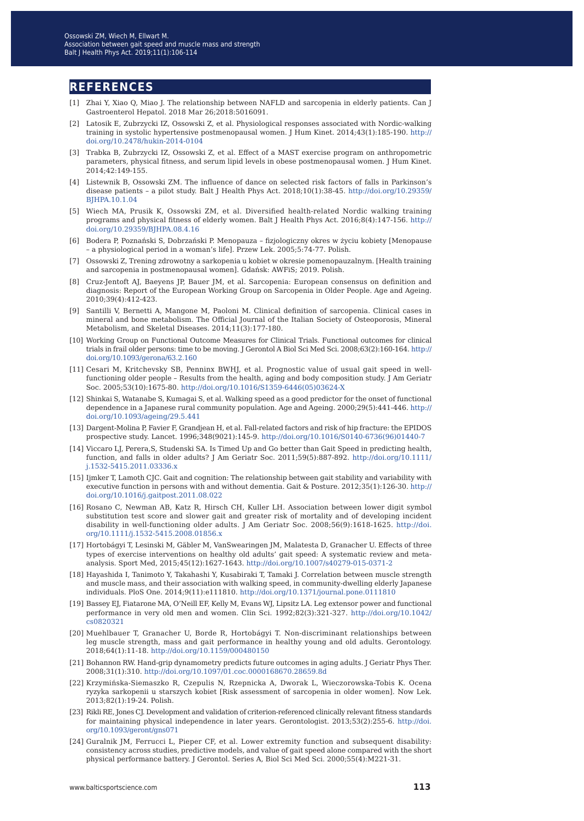#### **references**

- [1] Zhai Y, Xiao Q, Miao J. The relationship between NAFLD and sarcopenia in elderly patients. Can J Gastroenterol Hepatol. 2018 Mar 26;2018:5016091.
- [2] Latosik E, Zubrzycki IZ, Ossowski Z, et al. Physiological responses associated with Nordic-walking training in systolic hypertensive postmenopausal women. J Hum Kinet. 2014;43(1):185-190. [http://](http://doi.org/10.2478/hukin-2014-0104) [doi.org/10.2478/hukin-2014-0104](http://doi.org/10.2478/hukin-2014-0104)
- [3] Trabka B, Zubrzycki IZ, Ossowski Z, et al. Effect of a MAST exercise program on anthropometric parameters, physical fitness, and serum lipid levels in obese postmenopausal women. J Hum Kinet. 2014;42:149-155.
- [4] Listewnik B, Ossowski ZM. The influence of dance on selected risk factors of falls in Parkinson's disease patients – a pilot study. Balt J Health Phys Act. 2018;10(1):38-45. [http://doi.org/10.29359/](http://doi.org/10.29359/BJHPA.10.1.04) [BJHPA.10.1.04](http://doi.org/10.29359/BJHPA.10.1.04)
- [5] Wiech MA, Prusik K, Ossowski ZM, et al. Diversified health-related Nordic walking training programs and physical fitness of elderly women. Balt J Health Phys Act. 2016;8(4):147-156. [http://](http://doi.org/10.29359/BJHPA.08.4.16) [doi.org/10.29359/BJHPA.08.4.16](http://doi.org/10.29359/BJHPA.08.4.16)
- [6] Bodera P, Poznański S, Dobrzański P. Menopauza fizjologiczny okres w życiu kobiety [Menopause – a physiological period in a woman's life]. Przew Lek. 2005;5:74-77. Polish.
- [7] Ossowski Z, Trening zdrowotny a sarkopenia u kobiet w okresie pomenopauzalnym. [Health training and sarcopenia in postmenopausal women]. Gdańsk: AWFiS; 2019. Polish.
- [8] Cruz-Jentoft AJ, Baeyens JP, Bauer JM, et al. Sarcopenia: European consensus on definition and diagnosis: Report of the European Working Group on Sarcopenia in Older People. Age and Ageing. 2010;39(4):412-423.
- [9] Santilli V, Bernetti A, Mangone M, Paoloni M. Clinical definition of sarcopenia. Clinical cases in mineral and bone metabolism. The Official Journal of the Italian Society of Osteoporosis, Mineral Metabolism, and Skeletal Diseases. 2014;11(3):177-180.
- [10] Working Group on Functional Outcome Measures for Clinical Trials. Functional outcomes for clinical trials in frail older persons: time to be moving. J Gerontol A Biol Sci Med Sci. 2008;63(2):160-164. [http://](http://doi.org/10.1093/gerona/63.2.160) [doi.org/10.1093/gerona/63.2.160](http://doi.org/10.1093/gerona/63.2.160)
- [11] Cesari M, Kritchevsky SB, Penninx BWHJ, et al. Prognostic value of usual gait speed in wellfunctioning older people – Results from the health, aging and body composition study. J Am Geriatr Soc. 2005;53(10):1675-80. [http://doi.org/10.1016/S1359-6446\(05\)03624-X](http://doi.org/10.1016/S1359-6446(05)03624-X)
- [12] Shinkai S, Watanabe S, Kumagai S, et al. Walking speed as a good predictor for the onset of functional dependence in a Japanese rural community population. Age and Ageing. 2000;29(5):441-446. [http://](http://doi.org/10.1093/ageing/29.5.441) [doi.org/10.1093/ageing/29.5.441](http://doi.org/10.1093/ageing/29.5.441)
- [13] Dargent-Molina P, Favier F, Grandjean H, et al. Fall-related factors and risk of hip fracture: the EPIDOS prospective study. Lancet. 1996;348(9021):145-9. [http://doi.org/10.1016/S0140-6736\(96\)01440-7](http://doi.org/10.1016/S0140-6736(96)01440-7)
- [14] Viccaro LJ, Perera,S, Studenski SA. Is Timed Up and Go better than Gait Speed in predicting health, function, and falls in older adults? J Am Geriatr Soc. 2011;59(5):887-892. [http://doi.org/10.1111/](http://doi.org/10.1111/j.1532-5415.2011.03336.x) [j.1532-5415.2011.03336.x](http://doi.org/10.1111/j.1532-5415.2011.03336.x)
- [15] Ijmker T, Lamoth CJC. Gait and cognition: The relationship between gait stability and variability with executive function in persons with and without dementia. Gait & Posture. 2012;35(1):126-30. [http://](http://doi.org/10.1016/j.gaitpost.2011.08.022) [doi.org/10.1016/j.gaitpost.2011.08.022](http://doi.org/10.1016/j.gaitpost.2011.08.022)
- [16] Rosano C, Newman AB, Katz R, Hirsch CH, Kuller LH. Association between lower digit symbol substitution test score and slower gait and greater risk of mortality and of developing incident disability in well-functioning older adults. J Am Geriatr Soc. 2008;56(9):1618-1625. [http://doi.](http://doi.org/10.1111/j.1532-5415.2008.01856.x) [org/10.1111/j.1532-5415.2008.01856.x](http://doi.org/10.1111/j.1532-5415.2008.01856.x)
- [17] Hortobágyi T, Lesinski M, Gäbler M, VanSwearingen JM, Malatesta D, Granacher U. Effects of three types of exercise interventions on healthy old adults' gait speed: A systematic review and metaanalysis. Sport Med, 2015;45(12):1627-1643.<http://doi.org/10.1007/s40279-015-0371-2>
- [18] Hayashida I, Tanimoto Y, Takahashi Y, Kusabiraki T, Tamaki J. Correlation between muscle strength and muscle mass, and their association with walking speed, in community-dwelling elderly Japanese individuals. PloS One. 2014;9(11):e111810. <http://doi.org/10.1371/journal.pone.0111810>
- [19] Bassey EJ, Fiatarone MA, O'Neill EF, Kelly M, Evans WJ, Lipsitz LA. Leg extensor power and functional performance in very old men and women. Clin Sci. 1992;82(3):321-327. [http://doi.org/10.1042/](http://doi.org/10.1042/cs0820321) [cs0820321](http://doi.org/10.1042/cs0820321)
- [20] Muehlbauer T, Granacher U, Borde R, Hortobágyi T. Non-discriminant relationships between leg muscle strength, mass and gait performance in healthy young and old adults. Gerontology. 2018;64(1):11-18. <http://doi.org/10.1159/000480150>
- [21] Bohannon RW. Hand-grip dynamometry predicts future outcomes in aging adults. J Geriatr Phys Ther. 2008;31(1):310.<http://doi.org/10.1097/01.coc.0000168670.28659.8d>
- [22] Krzymińska-Siemaszko R, Czepulis N, Rzepnicka A, Dworak L, Wieczorowska-Tobis K. Ocena ryzyka sarkopenii u starszych kobiet [Risk assessment of sarcopenia in older women]. Now Lek. 2013;82(1):19-24. Polish.
- [23] Rikli RE, Jones CJ. Development and validation of criterion-referenced clinically relevant fitness standards for maintaining physical independence in later years. Gerontologist. 2013;53(2):255-6. [http://doi.](http://doi.org/10.1093/geront/gns071) [org/10.1093/geront/gns071](http://doi.org/10.1093/geront/gns071)
- [24] Guralnik JM, Ferrucci L, Pieper CF, et al. Lower extremity function and subsequent disability: consistency across studies, predictive models, and value of gait speed alone compared with the short physical performance battery. J Gerontol. Series A, Biol Sci Med Sci. 2000;55(4):M221-31.